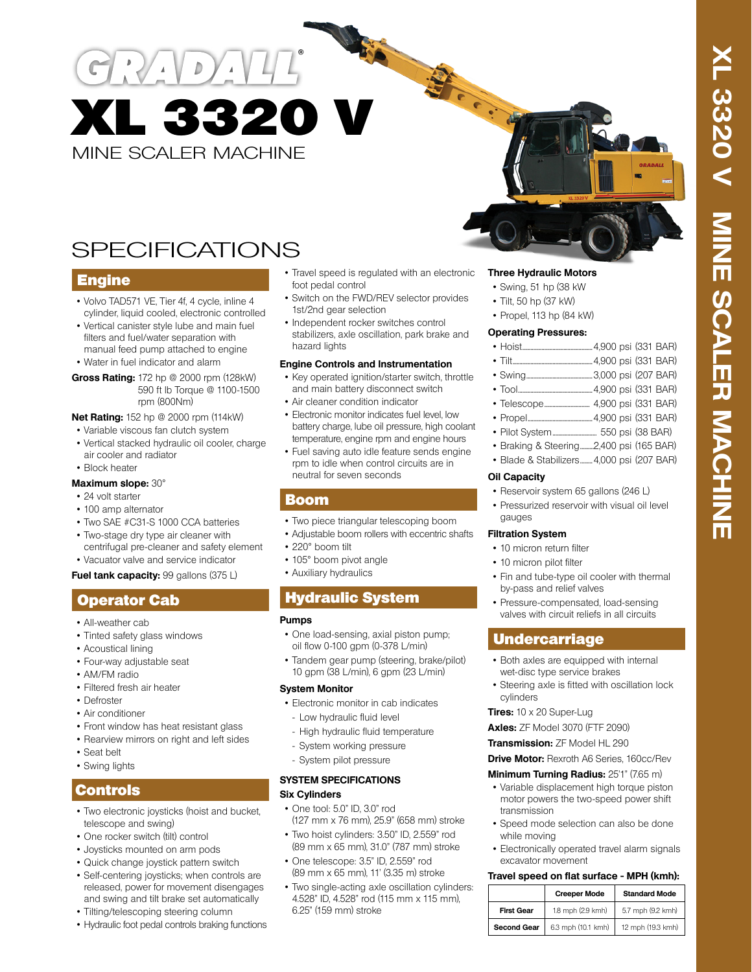MINE SCALER MACHINE XL 3320 V

# SPECIFICATIONS

### Engine

- Volvo TAD571 VE, Tier 4f, 4 cycle, inline 4 cylinder, liquid cooled, electronic controlled
- Vertical canister style lube and main fuel filters and fuel/water separation with manual feed pump attached to engine
- Water in fuel indicator and alarm
- **Gross Rating:** 172 hp @ 2000 rpm (128kW) 590 ft lb Torque @ 1100-1500 rpm (800Nm)

#### **Net Rating:** 152 hp @ 2000 rpm (114kW)

- Variable viscous fan clutch system
- Vertical stacked hydraulic oil cooler, charge air cooler and radiator
- Block heater

#### **Maximum slope:** 30°

- 24 volt starter
- 100 amp alternator
- Two SAE #C31-S 1000 CCA batteries
- Two-stage dry type air cleaner with centrifugal pre-cleaner and safety element
- Vacuator valve and service indicator

#### **Fuel tank capacity:** 99 gallons (375 L)

# Operator Cab

- All-weather cab
- Tinted safety glass windows
- Acoustical lining
- Four-way adjustable seat
- AM/FM radio
- Filtered fresh air heater
- Defroster
- Air conditioner
- Front window has heat resistant glass
- Rearview mirrors on right and left sides
- Seat belt
- Swing lights

### Controls

- Two electronic joysticks (hoist and bucket, telescope and swing)
- One rocker switch (tilt) control
- Joysticks mounted on arm pods
- Quick change joystick pattern switch
- Self-centering joysticks; when controls are released, power for movement disengages and swing and tilt brake set automatically
- Tilting/telescoping steering column
- Hydraulic foot pedal controls braking functions

• Travel speed is regulated with an electronic foot pedal control

**Charles Brade** 

- Switch on the FWD/REV selector provides 1st/2nd gear selection
- Independent rocker switches control stabilizers, axle oscillation, park brake and hazard lights

#### **Engine Controls and Instrumentation**

- Key operated ignition/starter switch, throttle and main battery disconnect switch
- Air cleaner condition indicator
- Electronic monitor indicates fuel level, low battery charge, lube oil pressure, high coolant temperature, engine rpm and engine hours
- Fuel saving auto idle feature sends engine rpm to idle when control circuits are in neutral for seven seconds

#### Boom

- Two piece triangular telescoping boom
- Adjustable boom rollers with eccentric shafts
- 220° boom tilt
- 105° boom pivot angle
- Auxiliary hydraulics

# Hydraulic System

#### **Pumps**

- One load-sensing, axial piston pump; oil flow 0-100 gpm (0-378 L/min)
- Tandem gear pump (steering, brake/pilot) 10 gpm (38 L/min), 6 gpm (23 L/min)

#### **System Monitor**

- Electronic monitor in cab indicates
- Low hydraulic fluid level
- High hydraulic fluid temperature
- System working pressure
- System pilot pressure

#### **SYSTEM SPECIFICATIONS Six Cylinders**

- One tool: 5.0" ID, 3.0" rod (127 mm x 76 mm), 25.9" (658 mm) stroke
- Two hoist cylinders: 3.50" ID, 2.559" rod (89 mm x 65 mm), 31.0" (787 mm) stroke
- One telescope: 3.5" ID, 2.559" rod (89 mm x 65 mm), 11' (3.35 m) stroke
- Two single-acting axle oscillation cylinders: 4.528" ID, 4.528" rod (115 mm x 115 mm), 6.25" (159 mm) stroke

#### **Three Hydraulic Motors**

- Swing, 51 hp (38 kW
- Tilt, 50 hp (37 kW)
- Propel, 113 hp (84 kW)

#### **Operating Pressures:**

- Hoist...................................................4,900 psi (331 BAR)
- Tilt..........................................................4,900 psi (331 BAR)
- Swing................................................3,000 psi (207 BAR)
- Tool......................................................4,900 psi (331 BAR)
- Telescope................................. 4,900 psi (331 BAR)
- Propel...............................................4,900 psi (331 BAR)
- Pilot System................................ 550 psi (38 BAR)
- Braking & Steering..........2,400 psi (165 BAR)
- Blade & Stabilizers.........4,000 psi (207 BAR)

#### **Oil Capacity**

- Reservoir system 65 gallons (246 L)
- Pressurized reservoir with visual oil level gauges

#### **Filtration System**

- 10 micron return filter
- 10 micron pilot filter
- Fin and tube-type oil cooler with thermal by-pass and relief valves
- Pressure-compensated, load-sensing valves with circuit reliefs in all circuits

### Undercarriage

- Both axles are equipped with internal wet-disc type service brakes
- Steering axle is fitted with oscillation lock cylinders

#### **Tires:** 10 x 20 Super-Lug

while moving

excavator movement

**Axles:** ZF Model 3070 (FTF 2090)

**Transmission:** ZF Model HL 290

**Drive Motor:** Rexroth A6 Series, 160cc/Rev

#### **Minimum Turning Radius:** 25'1" (7.65 m)

• Variable displacement high torque piston motor powers the two-speed power shift transmission

• Speed mode selection can also be done

• Electronically operated travel alarm signals

**Travel speed on flat surface - MPH (kmh):**

**First Gear** 1.8 mph (2.9 kmh) 5.7 mph (9.2 kmh) **Second Gear** 6.3 mph (10.1 kmh) 12 mph (19.3 kmh)

**Creeper Mode Standard Mode**